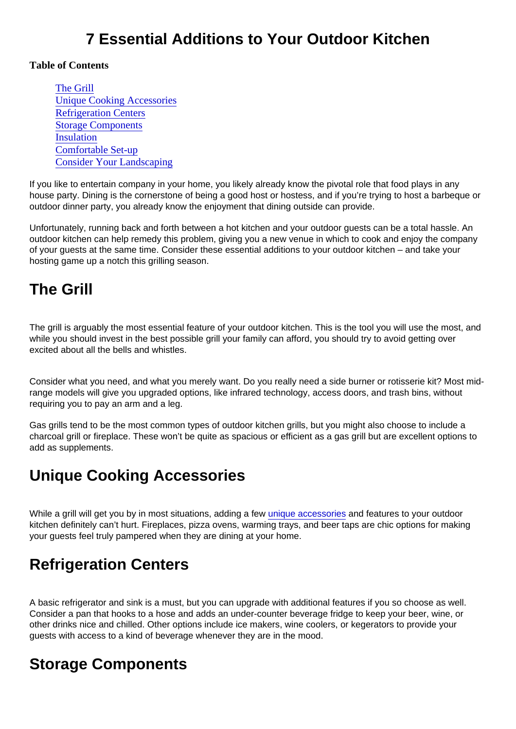### 7 Essential Additions to Your Outdoor Kitchen

#### Table of Contents

The Grill Unique Cooking Accessories Refrigeration Centers Storage Components [Insulation](#page-1-0) [Comfortable Set-u](#page-1-0)p [Consider Your Landscapin](#page-1-0)g

If you like to entertain company in your home, you likely already know the pivotal role that food plays in any house party. Dining is the cornerstone of being a good host or hostess, and if you're trying to host a barbeque or outdoor dinner party, you already know the enjoyment that dining outside can provide.

Unfortunately, running back and forth between a hot kitchen and your outdoor guests can be a total hassle. An outdoor kitchen can help remedy this problem, giving you a new venue in which to cook and enjoy the company of your guests at the same time. Consider these essential additions to your outdoor kitchen – and take your hosting game up a notch this grilling season.

#### The Grill

The grill is arguably the most essential feature of your outdoor kitchen. This is the tool you will use the most, and while you should invest in the best possible grill your family can afford, you should try to avoid getting over excited about all the bells and whistles.

Consider what you need, and what you merely want. Do you really need a side burner or rotisserie kit? Most midrange models will give you upgraded options, like infrared technology, access doors, and trash bins, without requiring you to pay an arm and a leg.

Gas grills tend to be the most common types of outdoor kitchen grills, but you might also choose to include a charcoal grill or fireplace. These won't be quite as spacious or efficient as a gas grill but are excellent options to add as supplements.

## Unique Cooking Accessories

While a grill will get you by in most situations, adding a few [unique accessories](http://nymag.com/strategist/article/best-barbecue-grill-accessories.html) and features to your outdoor kitchen definitely can't hurt. Fireplaces, pizza ovens, warming trays, and beer taps are chic options for making your guests feel truly pampered when they are dining at your home.

## Refrigeration Centers

A basic refrigerator and sink is a must, but you can upgrade with additional features if you so choose as well. Consider a pan that hooks to a hose and adds an under-counter beverage fridge to keep your beer, wine, or other drinks nice and chilled. Other options include ice makers, wine coolers, or kegerators to provide your guests with access to a kind of beverage whenever they are in the mood.

## Storage Components